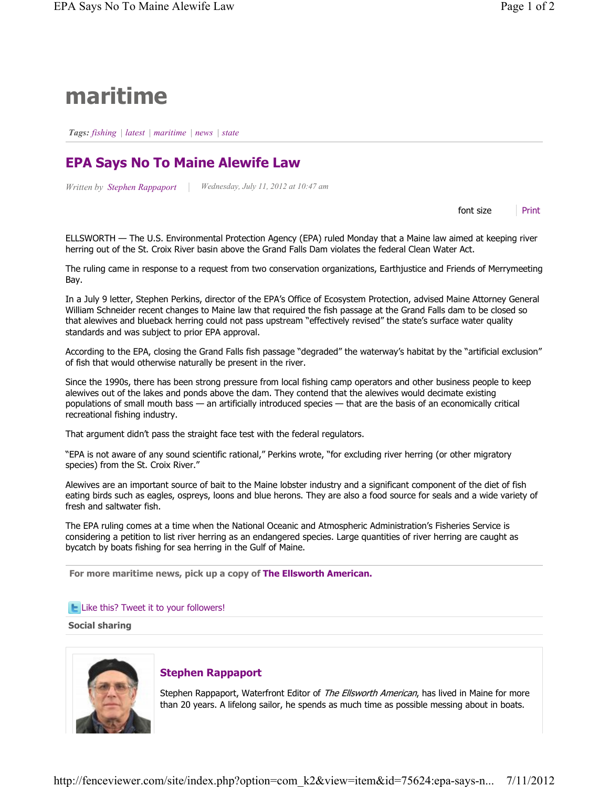# maritime

Tags: fishing | latest | maritime | news | state

# EPA Says No To Maine Alewife Law

Written by Stephen Rappaport

Wednesday, July 11, 2012 at 10:47 am

font size Print

ELLSWORTH — The U.S. Environmental Protection Agency (EPA) ruled Monday that a Maine law aimed at keeping river herring out of the St. Croix River basin above the Grand Falls Dam violates the federal Clean Water Act.

The ruling came in response to a request from two conservation organizations, Earthjustice and Friends of Merrymeeting Bay.

In a July 9 letter, Stephen Perkins, director of the EPA's Office of Ecosystem Protection, advised Maine Attorney General William Schneider recent changes to Maine law that required the fish passage at the Grand Falls dam to be closed so that alewives and blueback herring could not pass upstream "effectively revised" the state's surface water quality standards and was subject to prior EPA approval.

According to the EPA, closing the Grand Falls fish passage "degraded" the waterway's habitat by the "artificial exclusion" of fish that would otherwise naturally be present in the river.

Since the 1990s, there has been strong pressure from local fishing camp operators and other business people to keep alewives out of the lakes and ponds above the dam. They contend that the alewives would decimate existing populations of small mouth bass — an artificially introduced species — that are the basis of an economically critical recreational fishing industry.

That argument didn't pass the straight face test with the federal regulators.

"EPA is not aware of any sound scientific rational," Perkins wrote, "for excluding river herring (or other migratory species) from the St. Croix River."

Alewives are an important source of bait to the Maine lobster industry and a significant component of the diet of fish eating birds such as eagles, ospreys, loons and blue herons. They are also a food source for seals and a wide variety of fresh and saltwater fish.

The EPA ruling comes at a time when the National Oceanic and Atmospheric Administration's Fisheries Service is considering a petition to list river herring as an endangered species. Large quantities of river herring are caught as bycatch by boats fishing for sea herring in the Gulf of Maine.

For more maritime news, pick up a copy of The Ellsworth American.

#### **L** Like this? Tweet it to your followers!

Social sharing



### Stephen Rappaport

Stephen Rappaport, Waterfront Editor of The Ellsworth American, has lived in Maine for more than 20 years. A lifelong sailor, he spends as much time as possible messing about in boats.